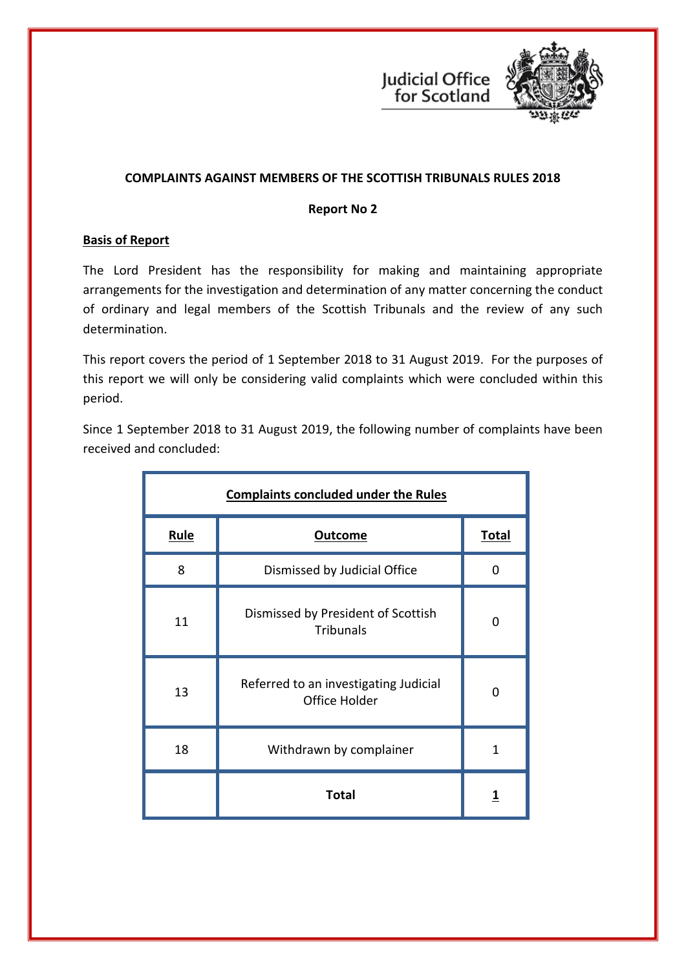



# **COMPLAINTS AGAINST MEMBERS OF THE SCOTTISH TRIBUNALS RULES 2018**

#### **Report No 2**

## **Basis of Report**

The Lord President has the responsibility for making and maintaining appropriate arrangements for the investigation and determination of any matter concerning the conduct of ordinary and legal members of the Scottish Tribunals and the review of any such determination.

This report covers the period of 1 September 2018 to 31 August 2019. For the purposes of this report we will only be considering valid complaints which were concluded within this period.

Since 1 September 2018 to 31 August 2019, the following number of complaints have been received and concluded:

| <b>Complaints concluded under the Rules</b> |                                                        |              |  |
|---------------------------------------------|--------------------------------------------------------|--------------|--|
| <b>Rule</b>                                 | <b>Outcome</b>                                         | <b>Total</b> |  |
| 8                                           | Dismissed by Judicial Office                           | O            |  |
| 11                                          | Dismissed by President of Scottish<br><b>Tribunals</b> | O            |  |
| 13                                          | Referred to an investigating Judicial<br>Office Holder | O            |  |
| 18                                          | Withdrawn by complainer                                | 1            |  |
|                                             | <b>Total</b>                                           | 1            |  |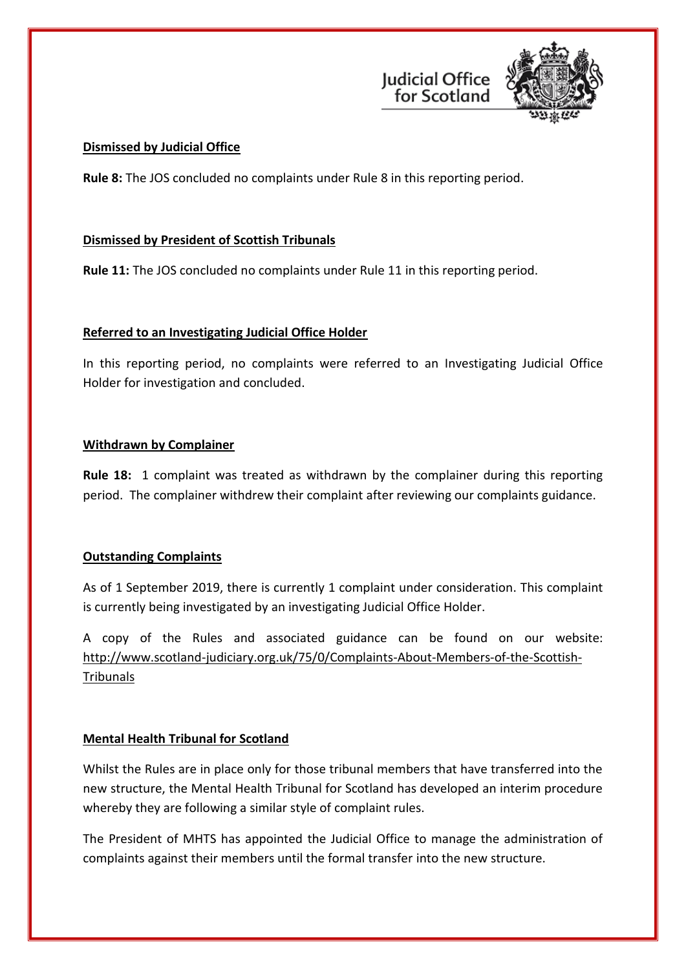



## **Dismissed by Judicial Office**

**Rule 8:** The JOS concluded no complaints under Rule 8 in this reporting period.

## **Dismissed by President of Scottish Tribunals**

**Rule 11:** The JOS concluded no complaints under Rule 11 in this reporting period.

#### **Referred to an Investigating Judicial Office Holder**

In this reporting period, no complaints were referred to an Investigating Judicial Office Holder for investigation and concluded.

#### **Withdrawn by Complainer**

**Rule 18:** 1 complaint was treated as withdrawn by the complainer during this reporting period. The complainer withdrew their complaint after reviewing our complaints guidance.

# **Outstanding Complaints**

As of 1 September 2019, there is currently 1 complaint under consideration. This complaint is currently being investigated by an investigating Judicial Office Holder.

A copy of the Rules and associated guidance can be found on our website: [http://www.scotland-judiciary.org.uk/75/0/Complaints-About-Members-of-the-Scottish-](http://www.scotland-judiciary.org.uk/75/0/Complaints-About-Members-of-the-Scottish-Tribunals)**[Tribunals](http://www.scotland-judiciary.org.uk/75/0/Complaints-About-Members-of-the-Scottish-Tribunals)** 

# **Mental Health Tribunal for Scotland**

Whilst the Rules are in place only for those tribunal members that have transferred into the new structure, the Mental Health Tribunal for Scotland has developed an interim procedure whereby they are following a similar style of complaint rules.

The President of MHTS has appointed the Judicial Office to manage the administration of complaints against their members until the formal transfer into the new structure.